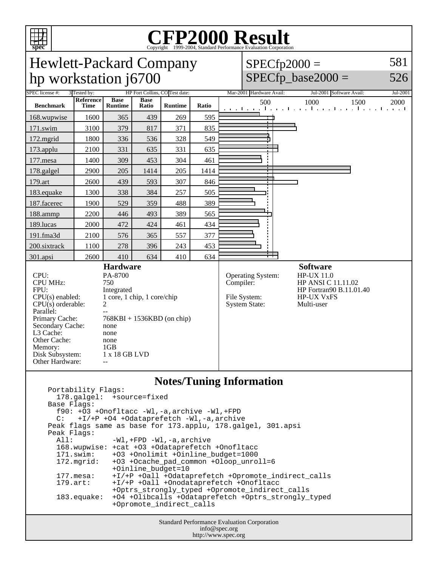

# C<sub>opyright</sub> ©1999-2004, Standard Performance Evaluation Corporation

| <b>Hewlett-Packard Company</b> |
|--------------------------------|
| hp workstation j6700           |

 $SPECfp2000 =$ 581

 $SPECfp\_base2000 =$ 

526

| SPEC license #:                                                                                                                                                                                                                                                                                                                                                                                                  | HP Fort Collins, CO Test date:<br>3 Tested by: |                               |                      |                |       | Mar-2001 Hardware Avail:<br>Jul-2001 Software Avail:                   |                                                                                                                          | Jul-2001 |
|------------------------------------------------------------------------------------------------------------------------------------------------------------------------------------------------------------------------------------------------------------------------------------------------------------------------------------------------------------------------------------------------------------------|------------------------------------------------|-------------------------------|----------------------|----------------|-------|------------------------------------------------------------------------|--------------------------------------------------------------------------------------------------------------------------|----------|
| <b>Benchmark</b>                                                                                                                                                                                                                                                                                                                                                                                                 | Reference<br><b>Time</b>                       | <b>Base</b><br><b>Runtime</b> | <b>Base</b><br>Ratio | <b>Runtime</b> | Ratio | 500                                                                    | 1000<br>1500<br>and the real constitution of a continuation of the real                                                  | 2000     |
| 168.wupwise                                                                                                                                                                                                                                                                                                                                                                                                      | 1600                                           | 365                           | 439                  | 269            | 595   |                                                                        |                                                                                                                          |          |
| 171.swim                                                                                                                                                                                                                                                                                                                                                                                                         | 3100                                           | 379                           | 817                  | 371            | 835   |                                                                        |                                                                                                                          |          |
| 172.mgrid                                                                                                                                                                                                                                                                                                                                                                                                        | 1800                                           | 336                           | 536                  | 328            | 549   |                                                                        |                                                                                                                          |          |
| $173$ .applu                                                                                                                                                                                                                                                                                                                                                                                                     | 2100                                           | 331                           | 635                  | 331            | 635   |                                                                        |                                                                                                                          |          |
| 177.mesa                                                                                                                                                                                                                                                                                                                                                                                                         | 1400                                           | 309                           | 453                  | 304            | 461   |                                                                        |                                                                                                                          |          |
| 178.galgel                                                                                                                                                                                                                                                                                                                                                                                                       | 2900                                           | 205                           | 1414                 | 205            | 1414  |                                                                        |                                                                                                                          |          |
| 179.art                                                                                                                                                                                                                                                                                                                                                                                                          | 2600                                           | 439                           | 593                  | 307            | 846   |                                                                        |                                                                                                                          |          |
| 183. equake                                                                                                                                                                                                                                                                                                                                                                                                      | 1300                                           | 338                           | 384                  | 257            | 505   |                                                                        |                                                                                                                          |          |
| 187.facerec                                                                                                                                                                                                                                                                                                                                                                                                      | 1900                                           | 529                           | 359                  | 488            | 389   |                                                                        |                                                                                                                          |          |
| 188.ammp                                                                                                                                                                                                                                                                                                                                                                                                         | 2200                                           | 446                           | 493                  | 389            | 565   |                                                                        |                                                                                                                          |          |
| 189.lucas                                                                                                                                                                                                                                                                                                                                                                                                        | 2000                                           | 472                           | 424                  | 461            | 434   |                                                                        |                                                                                                                          |          |
| 191.fma3d                                                                                                                                                                                                                                                                                                                                                                                                        | 2100                                           | 576                           | 365                  | 557            | 377   |                                                                        |                                                                                                                          |          |
| 200.sixtrack                                                                                                                                                                                                                                                                                                                                                                                                     | 1100                                           | 278                           | 396                  | 243            | 453   |                                                                        |                                                                                                                          |          |
| $301$ .apsi                                                                                                                                                                                                                                                                                                                                                                                                      | 2600                                           | 410                           | 634                  | 410            | 634   |                                                                        |                                                                                                                          |          |
| <b>Hardware</b><br>CPU:<br>PA-8700<br><b>CPU MHz:</b><br>750<br>FPU:<br>Integrated<br>$CPU(s)$ enabled:<br>1 core, 1 chip, 1 core/chip<br>$\overline{2}$<br>CPU(s) orderable:<br>Parallel:<br>Primary Cache:<br>$768KBI + 1536KBD$ (on chip)<br>Secondary Cache:<br>none<br>L3 Cache:<br>none<br>Other Cache:<br>none<br>1GB<br>Memory:<br>Disk Subsystem:<br>1 x 18 GB LVD<br>Other Hardware:<br>$\overline{a}$ |                                                |                               |                      |                |       | Operating System:<br>Compiler:<br>File System:<br><b>System State:</b> | <b>Software</b><br><b>HP-UX 11.0</b><br>HP ANSI C 11.11.02<br>HP Fortran90 B.11.01.40<br><b>HP-UX VxFS</b><br>Multi-user |          |

### **Notes/Tuning Information**

| Portability Flags:                                          |                                                     |  |  |  |  |  |
|-------------------------------------------------------------|-----------------------------------------------------|--|--|--|--|--|
| 178.galgel: +source=fixed                                   |                                                     |  |  |  |  |  |
| Base Flags:                                                 |                                                     |  |  |  |  |  |
| $f90: +O3 +Onofltacc -W1, -a, archive -W1, +FPD$            |                                                     |  |  |  |  |  |
| $C:$ +I/+P +O4 +Odataprefetch -Wl,-a,archive                |                                                     |  |  |  |  |  |
| Peak flags same as base for 173.applu, 178.galgel, 301.apsi |                                                     |  |  |  |  |  |
| Peak Flags:                                                 |                                                     |  |  |  |  |  |
|                                                             | All: -Wl, +FPD -Wl, -a, archive                     |  |  |  |  |  |
|                                                             | 168.wupwise: +cat +03 +0dataprefetch +0nofltacc     |  |  |  |  |  |
|                                                             | 171.swim: +03 +Onolimit +Oinline budget=1000        |  |  |  |  |  |
| $172.\text{mgrid}:$                                         | +03 +0cache pad common +0loop unroll=6              |  |  |  |  |  |
|                                                             | +Oinline budget=10                                  |  |  |  |  |  |
| $177.\text{mesa}$ :                                         | +I/+P +Oall +Odataprefetch +Opromote indirect calls |  |  |  |  |  |
| $179.\text{art}$ :                                          | +I/+P +Oall +Onodataprefetch +Onofltacc             |  |  |  |  |  |
|                                                             | +Optrs strongly typed +Opromote indirect calls      |  |  |  |  |  |
| $183$ .equake:                                              | +04 +0libcalls +0dataprefetch +0ptrs_strongly_typed |  |  |  |  |  |
|                                                             | +Opromote indirect calls                            |  |  |  |  |  |
|                                                             |                                                     |  |  |  |  |  |

Standard Performance Evaluation Corporation info@spec.org http://www.spec.org